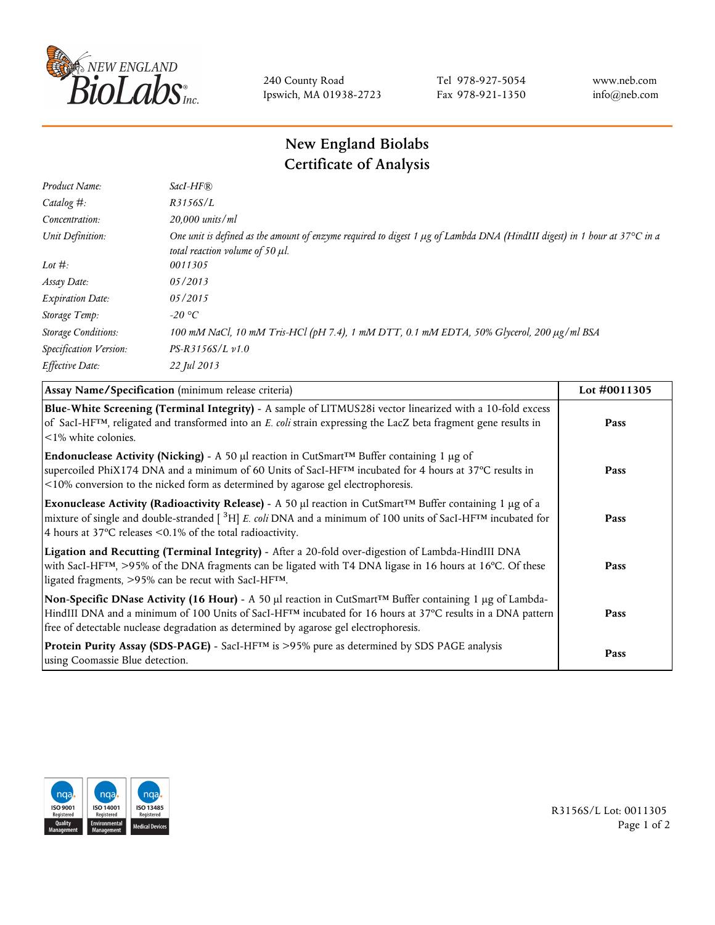

240 County Road Ipswich, MA 01938-2723 Tel 978-927-5054 Fax 978-921-1350 www.neb.com info@neb.com

## **New England Biolabs Certificate of Analysis**

| Product Name:              | $SacI-HF$ $R$                                                                                                                                                          |
|----------------------------|------------------------------------------------------------------------------------------------------------------------------------------------------------------------|
| Catalog #:                 | R3156S/L                                                                                                                                                               |
| Concentration:             | $20,000$ units/ml                                                                                                                                                      |
| Unit Definition:           | One unit is defined as the amount of enzyme required to digest 1 $\mu$ g of Lambda DNA (HindIII digest) in 1 hour at 37°C in a<br>total reaction volume of 50 $\mu$ l. |
| Lot $\#$ :                 | 0011305                                                                                                                                                                |
| Assay Date:                | 05/2013                                                                                                                                                                |
| <b>Expiration Date:</b>    | 05/2015                                                                                                                                                                |
| Storage Temp:              | -20 °C                                                                                                                                                                 |
| <b>Storage Conditions:</b> | 100 mM NaCl, 10 mM Tris-HCl (pH 7.4), 1 mM DTT, 0.1 mM EDTA, 50% Glycerol, 200 μg/ml BSA                                                                               |
| Specification Version:     | $PS-R3156S/L \nu 1.0$                                                                                                                                                  |
| Effective Date:            | 22 Jul 2013                                                                                                                                                            |

| Assay Name/Specification (minimum release criteria)                                                                                                                                                                                                                                                                                         | Lot #0011305 |
|---------------------------------------------------------------------------------------------------------------------------------------------------------------------------------------------------------------------------------------------------------------------------------------------------------------------------------------------|--------------|
| Blue-White Screening (Terminal Integrity) - A sample of LITMUS28i vector linearized with a 10-fold excess<br>of SacI-HF <sup>TM</sup> , religated and transformed into an E. coli strain expressing the LacZ beta fragment gene results in<br>$\leq$ 1% white colonies.                                                                     | Pass         |
| <b>Endonuclease Activity (Nicking)</b> - A 50 µl reaction in CutSmart <sup>TM</sup> Buffer containing 1 µg of<br>supercoiled PhiX174 DNA and a minimum of 60 Units of SacI-HFTM incubated for 4 hours at 37°C results in<br><10% conversion to the nicked form as determined by agarose gel electrophoresis.                                | Pass         |
| Exonuclease Activity (Radioactivity Release) - A 50 $\mu$ l reaction in CutSmart <sup>TM</sup> Buffer containing 1 $\mu$ g of a<br>mixture of single and double-stranded $[{}^{3}H]$ E. coli DNA and a minimum of 100 units of SacI-HF <sup>TM</sup> incubated for<br>4 hours at 37 $\degree$ C releases < 0.1% of the total radioactivity. | Pass         |
| Ligation and Recutting (Terminal Integrity) - After a 20-fold over-digestion of Lambda-HindIII DNA<br>with SacI-HF <sup>TM</sup> , >95% of the DNA fragments can be ligated with T4 DNA ligase in 16 hours at 16°C. Of these<br>ligated fragments, >95% can be recut with SacI-HFTM.                                                        | Pass         |
| Non-Specific DNase Activity (16 Hour) - A 50 µl reaction in CutSmart™ Buffer containing 1 µg of Lambda-<br>HindIII DNA and a minimum of 100 Units of SacI-HF <sup>TM</sup> incubated for 16 hours at 37°C results in a DNA pattern<br>free of detectable nuclease degradation as determined by agarose gel electrophoresis.                 | Pass         |
| Protein Purity Assay (SDS-PAGE) - SacI-HF™ is >95% pure as determined by SDS PAGE analysis<br>using Coomassie Blue detection.                                                                                                                                                                                                               | Pass         |



R3156S/L Lot: 0011305 Page 1 of 2